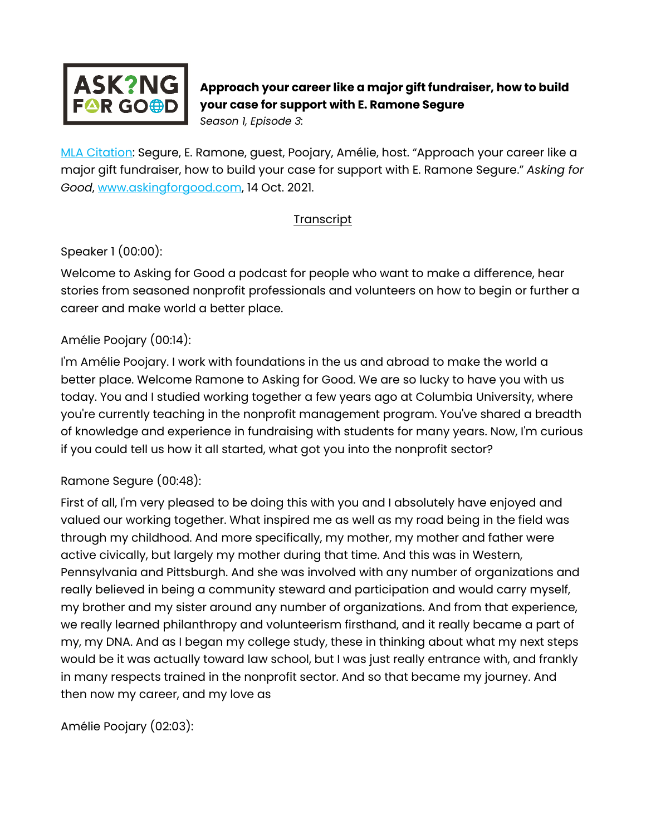

# **Approach your career like a major gift fundraiser, how to build your case for support with E. Ramone Segure**

*Season 1, Episode 3:* 

[MLA Citation:](https://style.mla.org/how-do-i-cite-a-podcast-episode/) Segure, E. Ramone, guest, Poojary, Amélie, host. "Approach your career like a major gift fundraiser, how to build your case for support with E. Ramone Segure." *Asking for Good*, [www.askingforgood.com,](http://www.askingforgood.com/) 14 Oct. 2021.

#### **Transcript**

### Speaker 1 (00:00):

Welcome to Asking for Good a podcast for people who want to make a difference, hear stories from seasoned nonprofit professionals and volunteers on how to begin or further a career and make world a better place.

### Amélie Poojary (00:14):

I'm Amélie Poojary. I work with foundations in the us and abroad to make the world a better place. Welcome Ramone to Asking for Good. We are so lucky to have you with us today. You and I studied working together a few years ago at Columbia University, where you're currently teaching in the nonprofit management program. You've shared a breadth of knowledge and experience in fundraising with students for many years. Now, I'm curious if you could tell us how it all started, what got you into the nonprofit sector?

### Ramone Segure (00:48):

First of all, I'm very pleased to be doing this with you and I absolutely have enjoyed and valued our working together. What inspired me as well as my road being in the field was through my childhood. And more specifically, my mother, my mother and father were active civically, but largely my mother during that time. And this was in Western, Pennsylvania and Pittsburgh. And she was involved with any number of organizations and really believed in being a community steward and participation and would carry myself, my brother and my sister around any number of organizations. And from that experience, we really learned philanthropy and volunteerism firsthand, and it really became a part of my, my DNA. And as I began my college study, these in thinking about what my next steps would be it was actually toward law school, but I was just really entrance with, and frankly in many respects trained in the nonprofit sector. And so that became my journey. And then now my career, and my love as

Amélie Poojary (02:03):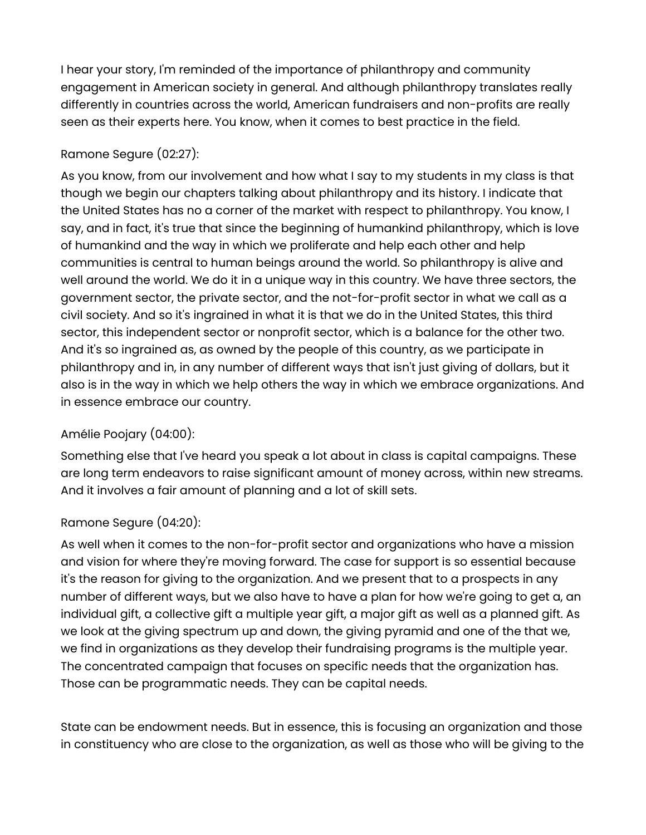I hear your story, I'm reminded of the importance of philanthropy and community engagement in American society in general. And although philanthropy translates really differently in countries across the world, American fundraisers and non-profits are really seen as their experts here. You know, when it comes to best practice in the field.

## Ramone Segure (02:27):

As you know, from our involvement and how what I say to my students in my class is that though we begin our chapters talking about philanthropy and its history. I indicate that the United States has no a corner of the market with respect to philanthropy. You know, I say, and in fact, it's true that since the beginning of humankind philanthropy, which is love of humankind and the way in which we proliferate and help each other and help communities is central to human beings around the world. So philanthropy is alive and well around the world. We do it in a unique way in this country. We have three sectors, the government sector, the private sector, and the not-for-profit sector in what we call as a civil society. And so it's ingrained in what it is that we do in the United States, this third sector, this independent sector or nonprofit sector, which is a balance for the other two. And it's so ingrained as, as owned by the people of this country, as we participate in philanthropy and in, in any number of different ways that isn't just giving of dollars, but it also is in the way in which we help others the way in which we embrace organizations. And in essence embrace our country.

## Amélie Poojary (04:00):

Something else that I've heard you speak a lot about in class is capital campaigns. These are long term endeavors to raise significant amount of money across, within new streams. And it involves a fair amount of planning and a lot of skill sets.

## Ramone Segure (04:20):

As well when it comes to the non-for-profit sector and organizations who have a mission and vision for where they're moving forward. The case for support is so essential because it's the reason for giving to the organization. And we present that to a prospects in any number of different ways, but we also have to have a plan for how we're going to get a, an individual gift, a collective gift a multiple year gift, a major gift as well as a planned gift. As we look at the giving spectrum up and down, the giving pyramid and one of the that we, we find in organizations as they develop their fundraising programs is the multiple year. The concentrated campaign that focuses on specific needs that the organization has. Those can be programmatic needs. They can be capital needs.

State can be endowment needs. But in essence, this is focusing an organization and those in constituency who are close to the organization, as well as those who will be giving to the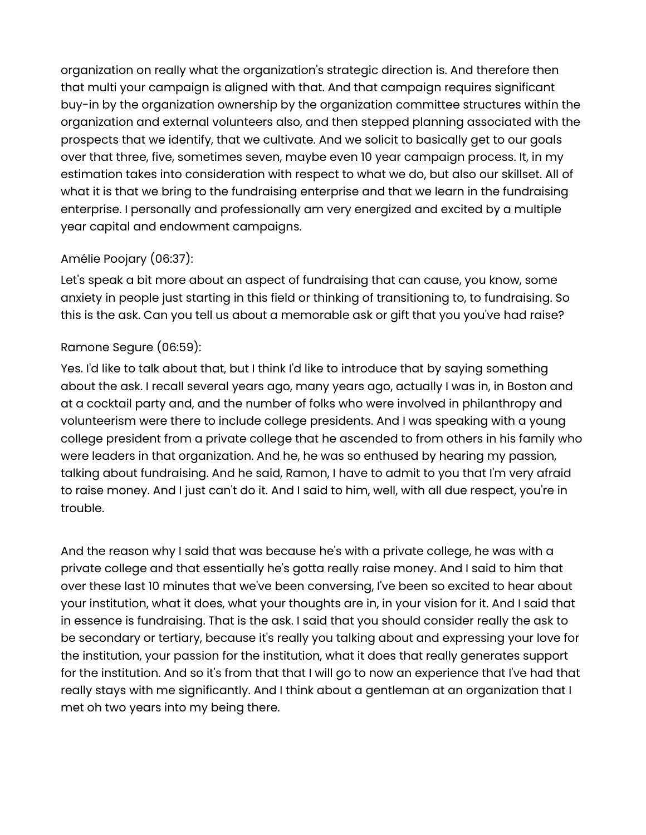organization on really what the organization's strategic direction is. And therefore then that multi your campaign is aligned with that. And that campaign requires significant buy-in by the organization ownership by the organization committee structures within the organization and external volunteers also, and then stepped planning associated with the prospects that we identify, that we cultivate. And we solicit to basically get to our goals over that three, five, sometimes seven, maybe even 10 year campaign process. It, in my estimation takes into consideration with respect to what we do, but also our skillset. All of what it is that we bring to the fundraising enterprise and that we learn in the fundraising enterprise. I personally and professionally am very energized and excited by a multiple year capital and endowment campaigns.

## Amélie Poojary (06:37):

Let's speak a bit more about an aspect of fundraising that can cause, you know, some anxiety in people just starting in this field or thinking of transitioning to, to fundraising. So this is the ask. Can you tell us about a memorable ask or gift that you you've had raise?

## Ramone Segure (06:59):

Yes. I'd like to talk about that, but I think I'd like to introduce that by saying something about the ask. I recall several years ago, many years ago, actually I was in, in Boston and at a cocktail party and, and the number of folks who were involved in philanthropy and volunteerism were there to include college presidents. And I was speaking with a young college president from a private college that he ascended to from others in his family who were leaders in that organization. And he, he was so enthused by hearing my passion, talking about fundraising. And he said, Ramon, I have to admit to you that I'm very afraid to raise money. And I just can't do it. And I said to him, well, with all due respect, you're in trouble.

And the reason why I said that was because he's with a private college, he was with a private college and that essentially he's gotta really raise money. And I said to him that over these last 10 minutes that we've been conversing, I've been so excited to hear about your institution, what it does, what your thoughts are in, in your vision for it. And I said that in essence is fundraising. That is the ask. I said that you should consider really the ask to be secondary or tertiary, because it's really you talking about and expressing your love for the institution, your passion for the institution, what it does that really generates support for the institution. And so it's from that that I will go to now an experience that I've had that really stays with me significantly. And I think about a gentleman at an organization that I met oh two years into my being there.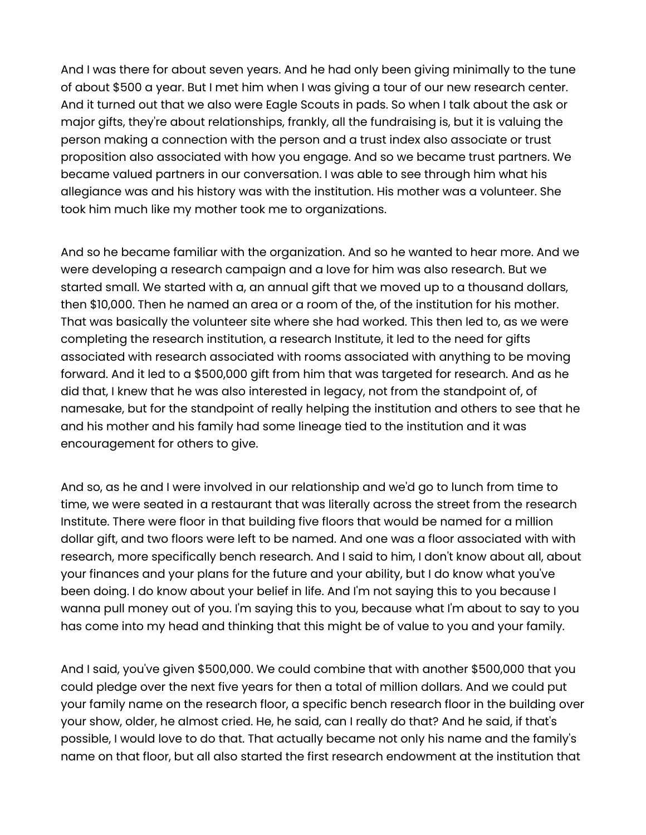And I was there for about seven years. And he had only been giving minimally to the tune of about \$500 a year. But I met him when I was giving a tour of our new research center. And it turned out that we also were Eagle Scouts in pads. So when I talk about the ask or major gifts, they're about relationships, frankly, all the fundraising is, but it is valuing the person making a connection with the person and a trust index also associate or trust proposition also associated with how you engage. And so we became trust partners. We became valued partners in our conversation. I was able to see through him what his allegiance was and his history was with the institution. His mother was a volunteer. She took him much like my mother took me to organizations.

And so he became familiar with the organization. And so he wanted to hear more. And we were developing a research campaign and a love for him was also research. But we started small. We started with a, an annual gift that we moved up to a thousand dollars, then \$10,000. Then he named an area or a room of the, of the institution for his mother. That was basically the volunteer site where she had worked. This then led to, as we were completing the research institution, a research Institute, it led to the need for gifts associated with research associated with rooms associated with anything to be moving forward. And it led to a \$500,000 gift from him that was targeted for research. And as he did that, I knew that he was also interested in legacy, not from the standpoint of, of namesake, but for the standpoint of really helping the institution and others to see that he and his mother and his family had some lineage tied to the institution and it was encouragement for others to give.

And so, as he and I were involved in our relationship and we'd go to lunch from time to time, we were seated in a restaurant that was literally across the street from the research Institute. There were floor in that building five floors that would be named for a million dollar gift, and two floors were left to be named. And one was a floor associated with with research, more specifically bench research. And I said to him, I don't know about all, about your finances and your plans for the future and your ability, but I do know what you've been doing. I do know about your belief in life. And I'm not saying this to you because I wanna pull money out of you. I'm saying this to you, because what I'm about to say to you has come into my head and thinking that this might be of value to you and your family.

And I said, you've given \$500,000. We could combine that with another \$500,000 that you could pledge over the next five years for then a total of million dollars. And we could put your family name on the research floor, a specific bench research floor in the building over your show, older, he almost cried. He, he said, can I really do that? And he said, if that's possible, I would love to do that. That actually became not only his name and the family's name on that floor, but all also started the first research endowment at the institution that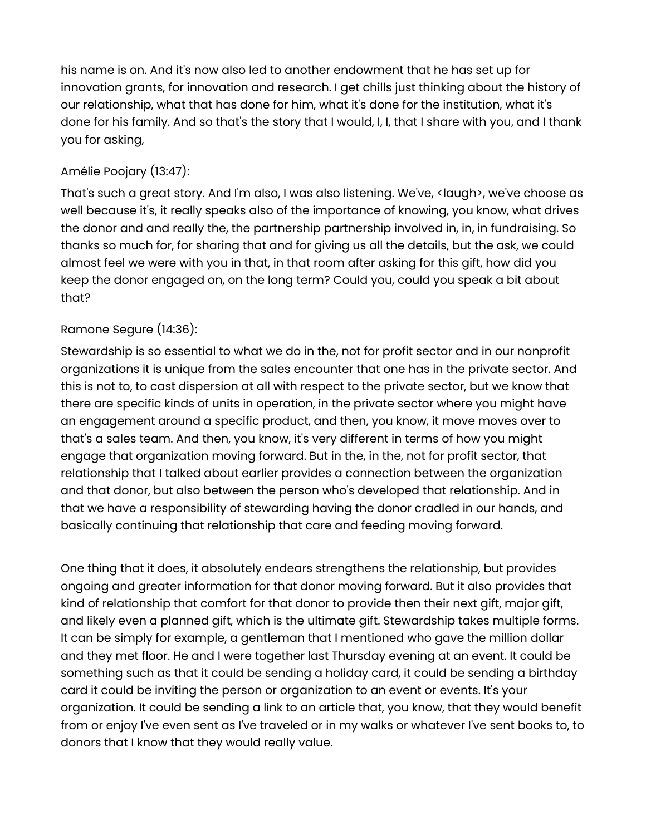his name is on. And it's now also led to another endowment that he has set up for innovation grants, for innovation and research. I get chills just thinking about the history of our relationship, what that has done for him, what it's done for the institution, what it's done for his family. And so that's the story that I would, I, I, that I share with you, and I thank you for asking,

#### Amélie Poojary (13:47):

That's such a great story. And I'm also, I was also listening. We've, <laugh>, we've choose as well because it's, it really speaks also of the importance of knowing, you know, what drives the donor and and really the, the partnership partnership involved in, in, in fundraising. So thanks so much for, for sharing that and for giving us all the details, but the ask, we could almost feel we were with you in that, in that room after asking for this gift, how did you keep the donor engaged on, on the long term? Could you, could you speak a bit about that?

#### Ramone Segure (14:36):

Stewardship is so essential to what we do in the, not for profit sector and in our nonprofit organizations it is unique from the sales encounter that one has in the private sector. And this is not to, to cast dispersion at all with respect to the private sector, but we know that there are specific kinds of units in operation, in the private sector where you might have an engagement around a specific product, and then, you know, it move moves over to that's a sales team. And then, you know, it's very different in terms of how you might engage that organization moving forward. But in the, in the, not for profit sector, that relationship that I talked about earlier provides a connection between the organization and that donor, but also between the person who's developed that relationship. And in that we have a responsibility of stewarding having the donor cradled in our hands, and basically continuing that relationship that care and feeding moving forward.

One thing that it does, it absolutely endears strengthens the relationship, but provides ongoing and greater information for that donor moving forward. But it also provides that kind of relationship that comfort for that donor to provide then their next gift, major gift, and likely even a planned gift, which is the ultimate gift. Stewardship takes multiple forms. It can be simply for example, a gentleman that I mentioned who gave the million dollar and they met floor. He and I were together last Thursday evening at an event. It could be something such as that it could be sending a holiday card, it could be sending a birthday card it could be inviting the person or organization to an event or events. It's your organization. It could be sending a link to an article that, you know, that they would benefit from or enjoy I've even sent as I've traveled or in my walks or whatever I've sent books to, to donors that I know that they would really value.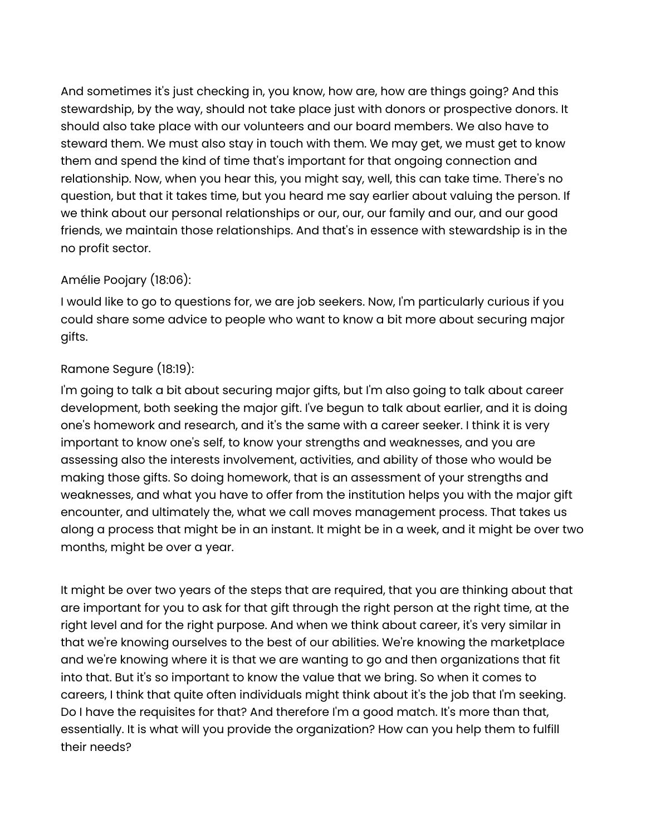And sometimes it's just checking in, you know, how are, how are things going? And this stewardship, by the way, should not take place just with donors or prospective donors. It should also take place with our volunteers and our board members. We also have to steward them. We must also stay in touch with them. We may get, we must get to know them and spend the kind of time that's important for that ongoing connection and relationship. Now, when you hear this, you might say, well, this can take time. There's no question, but that it takes time, but you heard me say earlier about valuing the person. If we think about our personal relationships or our, our, our family and our, and our good friends, we maintain those relationships. And that's in essence with stewardship is in the no profit sector.

#### Amélie Poojary (18:06):

I would like to go to questions for, we are job seekers. Now, I'm particularly curious if you could share some advice to people who want to know a bit more about securing major gifts.

### Ramone Segure (18:19):

I'm going to talk a bit about securing major gifts, but I'm also going to talk about career development, both seeking the major gift. I've begun to talk about earlier, and it is doing one's homework and research, and it's the same with a career seeker. I think it is very important to know one's self, to know your strengths and weaknesses, and you are assessing also the interests involvement, activities, and ability of those who would be making those gifts. So doing homework, that is an assessment of your strengths and weaknesses, and what you have to offer from the institution helps you with the major gift encounter, and ultimately the, what we call moves management process. That takes us along a process that might be in an instant. It might be in a week, and it might be over two months, might be over a year.

It might be over two years of the steps that are required, that you are thinking about that are important for you to ask for that gift through the right person at the right time, at the right level and for the right purpose. And when we think about career, it's very similar in that we're knowing ourselves to the best of our abilities. We're knowing the marketplace and we're knowing where it is that we are wanting to go and then organizations that fit into that. But it's so important to know the value that we bring. So when it comes to careers, I think that quite often individuals might think about it's the job that I'm seeking. Do I have the requisites for that? And therefore I'm a good match. It's more than that, essentially. It is what will you provide the organization? How can you help them to fulfill their needs?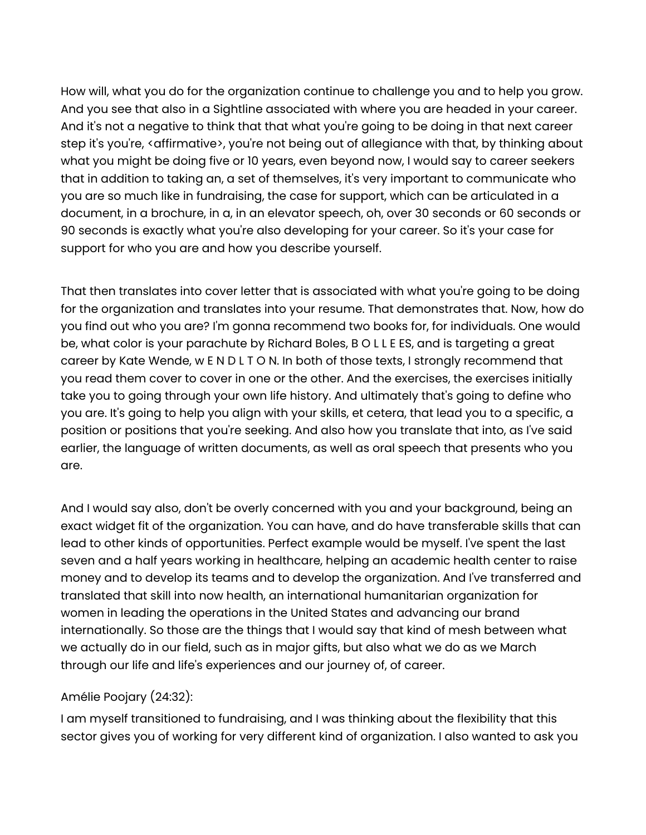How will, what you do for the organization continue to challenge you and to help you grow. And you see that also in a Sightline associated with where you are headed in your career. And it's not a negative to think that that what you're going to be doing in that next career step it's you're, <affirmative>, you're not being out of allegiance with that, by thinking about what you might be doing five or 10 years, even beyond now, I would say to career seekers that in addition to taking an, a set of themselves, it's very important to communicate who you are so much like in fundraising, the case for support, which can be articulated in a document, in a brochure, in a, in an elevator speech, oh, over 30 seconds or 60 seconds or 90 seconds is exactly what you're also developing for your career. So it's your case for support for who you are and how you describe yourself.

That then translates into cover letter that is associated with what you're going to be doing for the organization and translates into your resume. That demonstrates that. Now, how do you find out who you are? I'm gonna recommend two books for, for individuals. One would be, what color is your parachute by Richard Boles, B O L L E ES, and is targeting a great career by Kate Wende, w E N D L T O N. In both of those texts, I strongly recommend that you read them cover to cover in one or the other. And the exercises, the exercises initially take you to going through your own life history. And ultimately that's going to define who you are. It's going to help you align with your skills, et cetera, that lead you to a specific, a position or positions that you're seeking. And also how you translate that into, as I've said earlier, the language of written documents, as well as oral speech that presents who you are.

And I would say also, don't be overly concerned with you and your background, being an exact widget fit of the organization. You can have, and do have transferable skills that can lead to other kinds of opportunities. Perfect example would be myself. I've spent the last seven and a half years working in healthcare, helping an academic health center to raise money and to develop its teams and to develop the organization. And I've transferred and translated that skill into now health, an international humanitarian organization for women in leading the operations in the United States and advancing our brand internationally. So those are the things that I would say that kind of mesh between what we actually do in our field, such as in major gifts, but also what we do as we March through our life and life's experiences and our journey of, of career.

#### Amélie Poojary (24:32):

I am myself transitioned to fundraising, and I was thinking about the flexibility that this sector gives you of working for very different kind of organization. I also wanted to ask you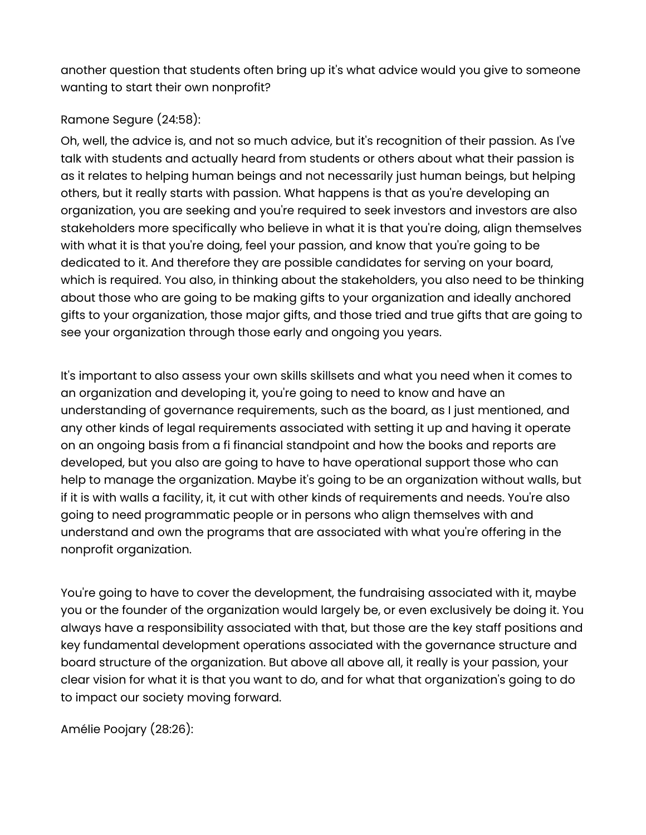another question that students often bring up it's what advice would you give to someone wanting to start their own nonprofit?

## Ramone Segure (24:58):

Oh, well, the advice is, and not so much advice, but it's recognition of their passion. As I've talk with students and actually heard from students or others about what their passion is as it relates to helping human beings and not necessarily just human beings, but helping others, but it really starts with passion. What happens is that as you're developing an organization, you are seeking and you're required to seek investors and investors are also stakeholders more specifically who believe in what it is that you're doing, align themselves with what it is that you're doing, feel your passion, and know that you're going to be dedicated to it. And therefore they are possible candidates for serving on your board, which is required. You also, in thinking about the stakeholders, you also need to be thinking about those who are going to be making gifts to your organization and ideally anchored gifts to your organization, those major gifts, and those tried and true gifts that are going to see your organization through those early and ongoing you years.

It's important to also assess your own skills skillsets and what you need when it comes to an organization and developing it, you're going to need to know and have an understanding of governance requirements, such as the board, as I just mentioned, and any other kinds of legal requirements associated with setting it up and having it operate on an ongoing basis from a fi financial standpoint and how the books and reports are developed, but you also are going to have to have operational support those who can help to manage the organization. Maybe it's going to be an organization without walls, but if it is with walls a facility, it, it cut with other kinds of requirements and needs. You're also going to need programmatic people or in persons who align themselves with and understand and own the programs that are associated with what you're offering in the nonprofit organization.

You're going to have to cover the development, the fundraising associated with it, maybe you or the founder of the organization would largely be, or even exclusively be doing it. You always have a responsibility associated with that, but those are the key staff positions and key fundamental development operations associated with the governance structure and board structure of the organization. But above all above all, it really is your passion, your clear vision for what it is that you want to do, and for what that organization's going to do to impact our society moving forward.

Amélie Poojary (28:26):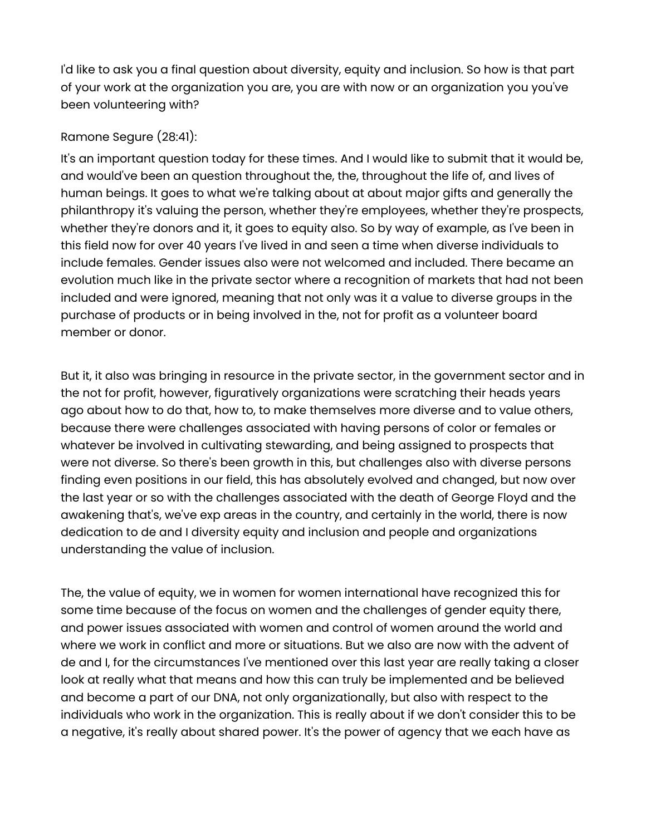I'd like to ask you a final question about diversity, equity and inclusion. So how is that part of your work at the organization you are, you are with now or an organization you you've been volunteering with?

#### Ramone Segure (28:41):

It's an important question today for these times. And I would like to submit that it would be, and would've been an question throughout the, the, throughout the life of, and lives of human beings. It goes to what we're talking about at about major gifts and generally the philanthropy it's valuing the person, whether they're employees, whether they're prospects, whether they're donors and it, it goes to equity also. So by way of example, as I've been in this field now for over 40 years I've lived in and seen a time when diverse individuals to include females. Gender issues also were not welcomed and included. There became an evolution much like in the private sector where a recognition of markets that had not been included and were ignored, meaning that not only was it a value to diverse groups in the purchase of products or in being involved in the, not for profit as a volunteer board member or donor.

But it, it also was bringing in resource in the private sector, in the government sector and in the not for profit, however, figuratively organizations were scratching their heads years ago about how to do that, how to, to make themselves more diverse and to value others, because there were challenges associated with having persons of color or females or whatever be involved in cultivating stewarding, and being assigned to prospects that were not diverse. So there's been growth in this, but challenges also with diverse persons finding even positions in our field, this has absolutely evolved and changed, but now over the last year or so with the challenges associated with the death of George Floyd and the awakening that's, we've exp areas in the country, and certainly in the world, there is now dedication to de and I diversity equity and inclusion and people and organizations understanding the value of inclusion.

The, the value of equity, we in women for women international have recognized this for some time because of the focus on women and the challenges of gender equity there, and power issues associated with women and control of women around the world and where we work in conflict and more or situations. But we also are now with the advent of de and I, for the circumstances I've mentioned over this last year are really taking a closer look at really what that means and how this can truly be implemented and be believed and become a part of our DNA, not only organizationally, but also with respect to the individuals who work in the organization. This is really about if we don't consider this to be a negative, it's really about shared power. It's the power of agency that we each have as